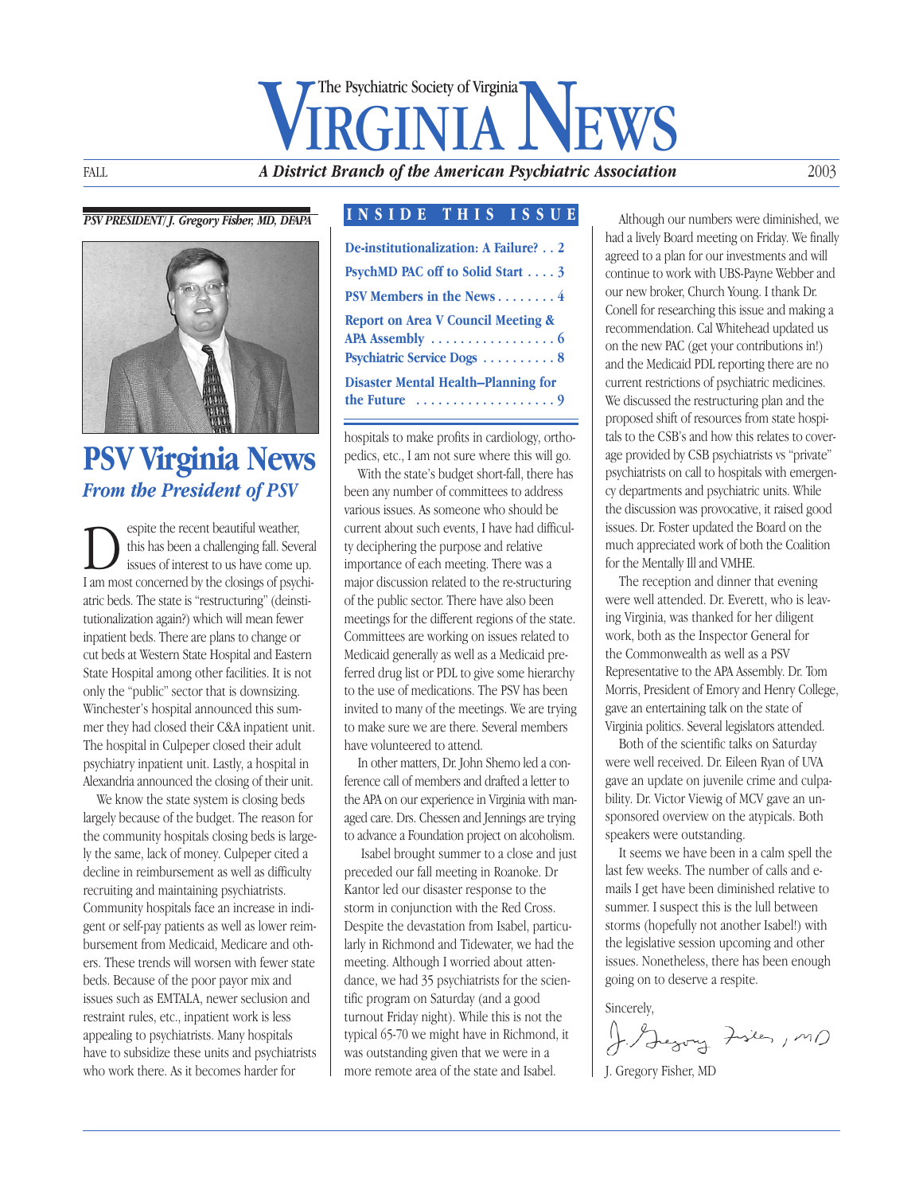## FALL **A District Branch of the American Psychiatric Association** The Psychiatric Society of Virginia

#### *PSV PRESIDENT/ J. Gregory Fisher, MD, DFAPA*



### **PSV Virginia News** *From the President of PSV*

Spite the recent beautiful weather,<br>this has been a challenging fall. Sevent is such a concerned by the closings of nsw this has been a challenging fall. Several issues of interest to us have come up. I am most concerned by the closings of psychiatric beds. The state is "restructuring" (deinstitutionalization again?) which will mean fewer inpatient beds. There are plans to change or cut beds at Western State Hospital and Eastern State Hospital among other facilities. It is not only the "public" sector that is downsizing. Winchester's hospital announced this summer they had closed their C&A inpatient unit. The hospital in Culpeper closed their adult psychiatry inpatient unit. Lastly, a hospital in Alexandria announced the closing of their unit.

We know the state system is closing beds largely because of the budget. The reason for the community hospitals closing beds is largely the same, lack of money. Culpeper cited a decline in reimbursement as well as difficulty recruiting and maintaining psychiatrists. Community hospitals face an increase in indigent or self-pay patients as well as lower reimbursement from Medicaid, Medicare and others. These trends will worsen with fewer state beds. Because of the poor payor mix and issues such as EMTALA, newer seclusion and restraint rules, etc., inpatient work is less appealing to psychiatrists. Many hospitals have to subsidize these units and psychiatrists who work there. As it becomes harder for

#### **INSIDE THIS ISSUE**

| De-institutionalization: A Failure? 2         |
|-----------------------------------------------|
| PsychMD PAC off to Solid Start 3              |
| PSV Members in the News4                      |
| <b>Report on Area V Council Meeting &amp;</b> |
|                                               |
| Psychiatric Service Dogs 8                    |
| <b>Disaster Mental Health–Planning for</b>    |
|                                               |
|                                               |

hospitals to make profits in cardiology, orthopedics, etc., I am not sure where this will go.

With the state's budget short-fall, there has been any number of committees to address various issues. As someone who should be current about such events, I have had difficulty deciphering the purpose and relative importance of each meeting. There was a major discussion related to the re-structuring of the public sector. There have also been meetings for the different regions of the state. Committees are working on issues related to Medicaid generally as well as a Medicaid preferred drug list or PDL to give some hierarchy to the use of medications. The PSV has been invited to many of the meetings. We are trying to make sure we are there. Several members have volunteered to attend.

In other matters, Dr. John Shemo led a conference call of members and drafted a letter to the APA on our experience in Virginia with managed care. Drs. Chessen and Jennings are trying to advance a Foundation project on alcoholism.

Isabel brought summer to a close and just preceded our fall meeting in Roanoke. Dr Kantor led our disaster response to the storm in conjunction with the Red Cross. Despite the devastation from Isabel, particularly in Richmond and Tidewater, we had the meeting. Although I worried about attendance, we had 35 psychiatrists for the scientific program on Saturday (and a good turnout Friday night). While this is not the typical 65-70 we might have in Richmond, it was outstanding given that we were in a more remote area of the state and Isabel.

Although our numbers were diminished, we had a lively Board meeting on Friday. We finally agreed to a plan for our investments and will continue to work with UBS-Payne Webber and our new broker, Church Young. I thank Dr. Conell for researching this issue and making a recommendation. Cal Whitehead updated us on the new PAC (get your contributions in!) and the Medicaid PDL reporting there are no current restrictions of psychiatric medicines. We discussed the restructuring plan and the proposed shift of resources from state hospitals to the CSB's and how this relates to coverage provided by CSB psychiatrists vs "private" psychiatrists on call to hospitals with emergency departments and psychiatric units. While the discussion was provocative, it raised good issues. Dr. Foster updated the Board on the much appreciated work of both the Coalition for the Mentally Ill and VMHE.

The reception and dinner that evening were well attended. Dr. Everett, who is leaving Virginia, was thanked for her diligent work, both as the Inspector General for the Commonwealth as well as a PSV Representative to the APA Assembly. Dr. Tom Morris, President of Emory and Henry College, gave an entertaining talk on the state of Virginia politics. Several legislators attended.

Both of the scientific talks on Saturday were well received. Dr. Eileen Ryan of UVA gave an update on juvenile crime and culpability. Dr. Victor Viewig of MCV gave an unsponsored overview on the atypicals. Both speakers were outstanding.

It seems we have been in a calm spell the last few weeks. The number of calls and emails I get have been diminished relative to summer. I suspect this is the lull between storms (hopefully not another Isabel!) with the legislative session upcoming and other issues. Nonetheless, there has been enough going on to deserve a respite.

Sincerely,<br>J. Jegory Fisies, MD

J. Gregory Fisher, MD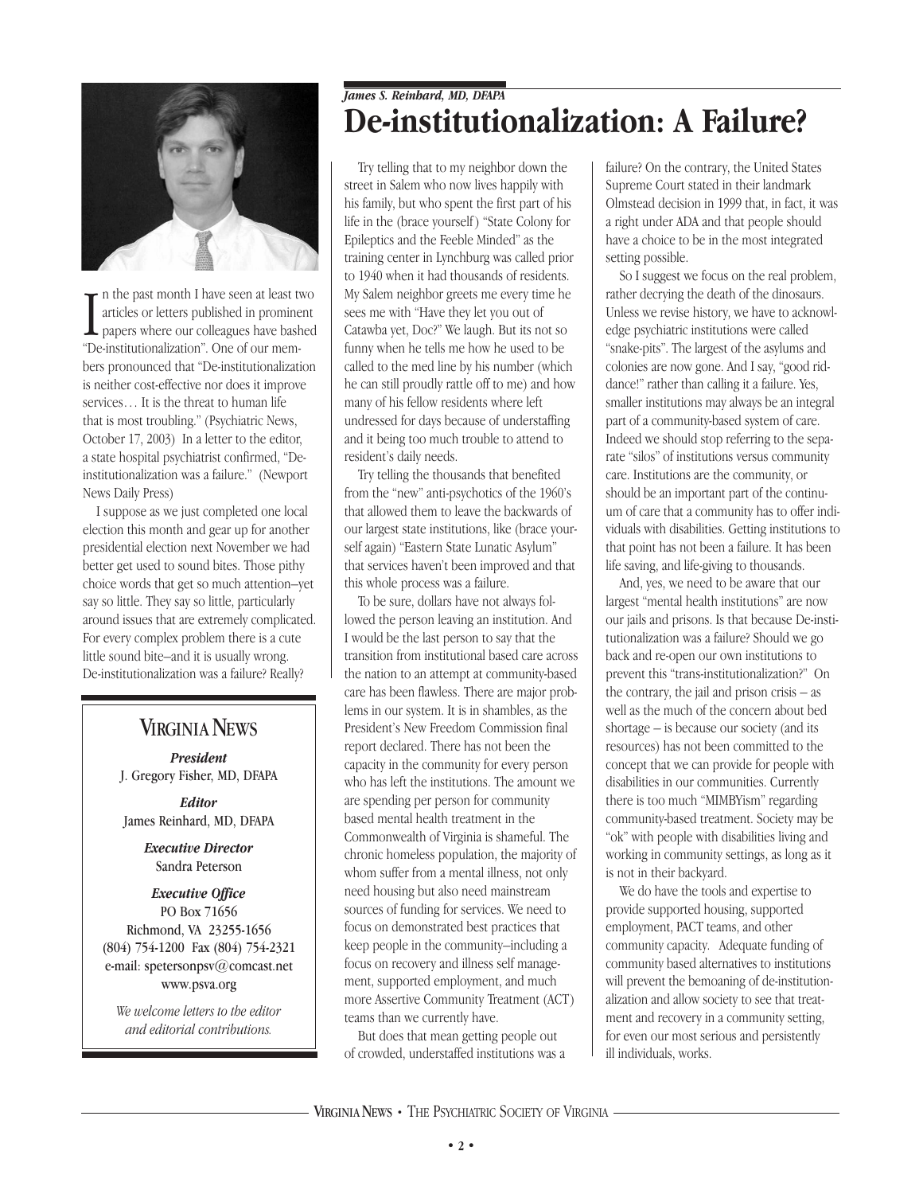

In the past month I have seen at least to articles or letters published in promine papers where our colleagues have bash "De-institutionalization". One of our memn the past month I have seen at least two articles or letters published in prominent  $\perp$  papers where our colleagues have bashed bers pronounced that "De-institutionalization is neither cost-effective nor does it improve services… It is the threat to human life that is most troubling." (Psychiatric News, October 17, 2003) In a letter to the editor, a state hospital psychiatrist confirmed, "Deinstitutionalization was a failure." (Newport News Daily Press)

I suppose as we just completed one local election this month and gear up for another presidential election next November we had better get used to sound bites. Those pithy choice words that get so much attention–yet say so little. They say so little, particularly around issues that are extremely complicated. For every complex problem there is a cute little sound bite–and it is usually wrong. De-institutionalization was a failure? Really?

#### **VIRGINIA NEWS**

*President* J. Gregory Fisher, MD, DFAPA

*Editor* James Reinhard, MD, DFAPA

> *Executive Director* Sandra Peterson

#### *Executive Office* PO Box 71656 Richmond, VA 23255-1656

(804) 754-1200 Fax (804) 754-2321 e-mail: spetersonpsv@comcast.net www.psva.org

*We welcome letters to the editor and editorial contributions.*

#### *James S. Reinhard, MD, DFAPA* **De-institutionalization: A Failure?**

Try telling that to my neighbor down the street in Salem who now lives happily with his family, but who spent the first part of his life in the (brace yourself ) "State Colony for Epileptics and the Feeble Minded" as the training center in Lynchburg was called prior to 1940 when it had thousands of residents. My Salem neighbor greets me every time he sees me with "Have they let you out of Catawba yet, Doc?" We laugh. But its not so funny when he tells me how he used to be called to the med line by his number (which he can still proudly rattle off to me) and how many of his fellow residents where left undressed for days because of understaffing and it being too much trouble to attend to resident's daily needs.

Try telling the thousands that benefited from the "new" anti-psychotics of the 1960's that allowed them to leave the backwards of our largest state institutions, like (brace yourself again) "Eastern State Lunatic Asylum" that services haven't been improved and that this whole process was a failure.

To be sure, dollars have not always followed the person leaving an institution. And I would be the last person to say that the transition from institutional based care across the nation to an attempt at community-based care has been flawless. There are major problems in our system. It is in shambles, as the President's New Freedom Commission final report declared. There has not been the capacity in the community for every person who has left the institutions. The amount we are spending per person for community based mental health treatment in the Commonwealth of Virginia is shameful. The chronic homeless population, the majority of whom suffer from a mental illness, not only need housing but also need mainstream sources of funding for services. We need to focus on demonstrated best practices that keep people in the community–including a focus on recovery and illness self management, supported employment, and much more Assertive Community Treatment (ACT) teams than we currently have.

But does that mean getting people out of crowded, understaffed institutions was a

failure? On the contrary, the United States Supreme Court stated in their landmark Olmstead decision in 1999 that, in fact, it was a right under ADA and that people should have a choice to be in the most integrated setting possible.

So I suggest we focus on the real problem, rather decrying the death of the dinosaurs. Unless we revise history, we have to acknowledge psychiatric institutions were called "snake-pits". The largest of the asylums and colonies are now gone. And I say, "good riddance!" rather than calling it a failure. Yes, smaller institutions may always be an integral part of a community-based system of care. Indeed we should stop referring to the separate "silos" of institutions versus community care. Institutions are the community, or should be an important part of the continuum of care that a community has to offer individuals with disabilities. Getting institutions to that point has not been a failure. It has been life saving, and life-giving to thousands.

And, yes, we need to be aware that our largest "mental health institutions" are now our jails and prisons. Is that because De-institutionalization was a failure? Should we go back and re-open our own institutions to prevent this "trans-institutionalization?" On the contrary, the jail and prison crisis – as well as the much of the concern about bed shortage – is because our society (and its resources) has not been committed to the concept that we can provide for people with disabilities in our communities. Currently there is too much "MIMBYism" regarding community-based treatment. Society may be "ok" with people with disabilities living and working in community settings, as long as it is not in their backyard.

We do have the tools and expertise to provide supported housing, supported employment, PACT teams, and other community capacity. Adequate funding of community based alternatives to institutions will prevent the bemoaning of de-institutionalization and allow society to see that treatment and recovery in a community setting, for even our most serious and persistently ill individuals, works.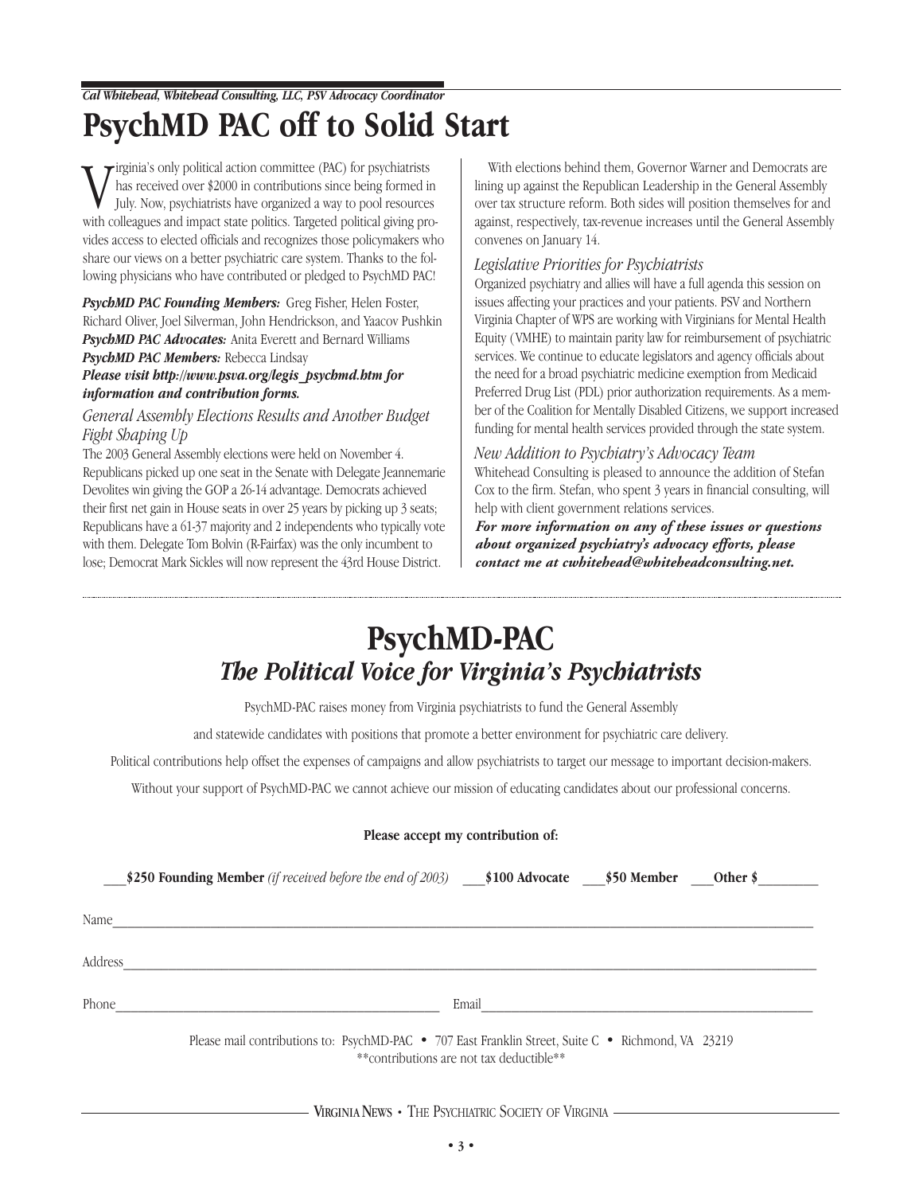*Cal Whitehead, Whitehead Consulting, LLC, PSV Advocacy Coordinator*

## **PsychMD PAC off to Solid Start**

We irginia's only political action committee (PAC) for psychiatrists<br>In the series over \$2000 in contributions since being formed in<br>July. Now, psychiatrists have organized a way to pool resources<br>with colleagues and impac  $\tau$ irginia's only political action committee (PAC) for psychiatrists has received over \$2000 in contributions since being formed in July. Now, psychiatrists have organized a way to pool resources vides access to elected officials and recognizes those policymakers who share our views on a better psychiatric care system. Thanks to the following physicians who have contributed or pledged to PsychMD PAC!

*PsychMD PAC Founding Members:* Greg Fisher, Helen Foster, Richard Oliver, Joel Silverman, John Hendrickson, and Yaacov Pushkin *PsychMD PAC Advocates:* Anita Everett and Bernard Williams *PsychMD PAC Members:* Rebecca Lindsay

#### *Please visit http://www.psva.org/legis\_psychmd.htm for information and contribution forms.*

#### *General Assembly Elections Results and Another Budget Fight Shaping Up*

The 2003 General Assembly elections were held on November 4. Republicans picked up one seat in the Senate with Delegate Jeannemarie Devolites win giving the GOP a 26-14 advantage. Democrats achieved their first net gain in House seats in over 25 years by picking up 3 seats; Republicans have a 61-37 majority and 2 independents who typically vote with them. Delegate Tom Bolvin (R-Fairfax) was the only incumbent to lose; Democrat Mark Sickles will now represent the 43rd House District.

With elections behind them, Governor Warner and Democrats are lining up against the Republican Leadership in the General Assembly over tax structure reform. Both sides will position themselves for and against, respectively, tax-revenue increases until the General Assembly convenes on January 14.

#### *Legislative Priorities for Psychiatrists*

Organized psychiatry and allies will have a full agenda this session on issues affecting your practices and your patients. PSV and Northern Virginia Chapter of WPS are working with Virginians for Mental Health Equity (VMHE) to maintain parity law for reimbursement of psychiatric services. We continue to educate legislators and agency officials about the need for a broad psychiatric medicine exemption from Medicaid Preferred Drug List (PDL) prior authorization requirements. As a member of the Coalition for Mentally Disabled Citizens, we support increased funding for mental health services provided through the state system.

#### *New Addition to Psychiatry's Advocacy Team*

Whitehead Consulting is pleased to announce the addition of Stefan Cox to the firm. Stefan, who spent 3 years in financial consulting, will help with client government relations services.

*For more information on any of these issues or questions about organized psychiatry's advocacy efforts, please contact me at cwhitehead@whiteheadconsulting.net.*

## **PsychMD-PAC** *The Political Voice for Virginia's Psychiatrists*

PsychMD-PAC raises money from Virginia psychiatrists to fund the General Assembly

and statewide candidates with positions that promote a better environment for psychiatric care delivery.

Political contributions help offset the expenses of campaigns and allow psychiatrists to target our message to important decision-makers.

Without your support of PsychMD-PAC we cannot achieve our mission of educating candidates about our professional concerns.

|  |  |  | Please accept my contribution of: |  |
|--|--|--|-----------------------------------|--|
|--|--|--|-----------------------------------|--|

|         | \$250 Founding Member (if received before the end of 2003) $$100$ Advocate $$50$ Member            |                                          | Other $\frac{1}{2}$ |  |
|---------|----------------------------------------------------------------------------------------------------|------------------------------------------|---------------------|--|
| Name    |                                                                                                    |                                          |                     |  |
| Address |                                                                                                    |                                          |                     |  |
| Phone   |                                                                                                    | Email                                    |                     |  |
|         | Please mail contributions to: PsychMD-PAC • 707 East Franklin Street, Suite C • Richmond, VA 23219 | **contributions are not tax deductible** |                     |  |

VIRGINIANEWS **•** THE PSYCHIATRIC SOCIETY OF VIRGINIA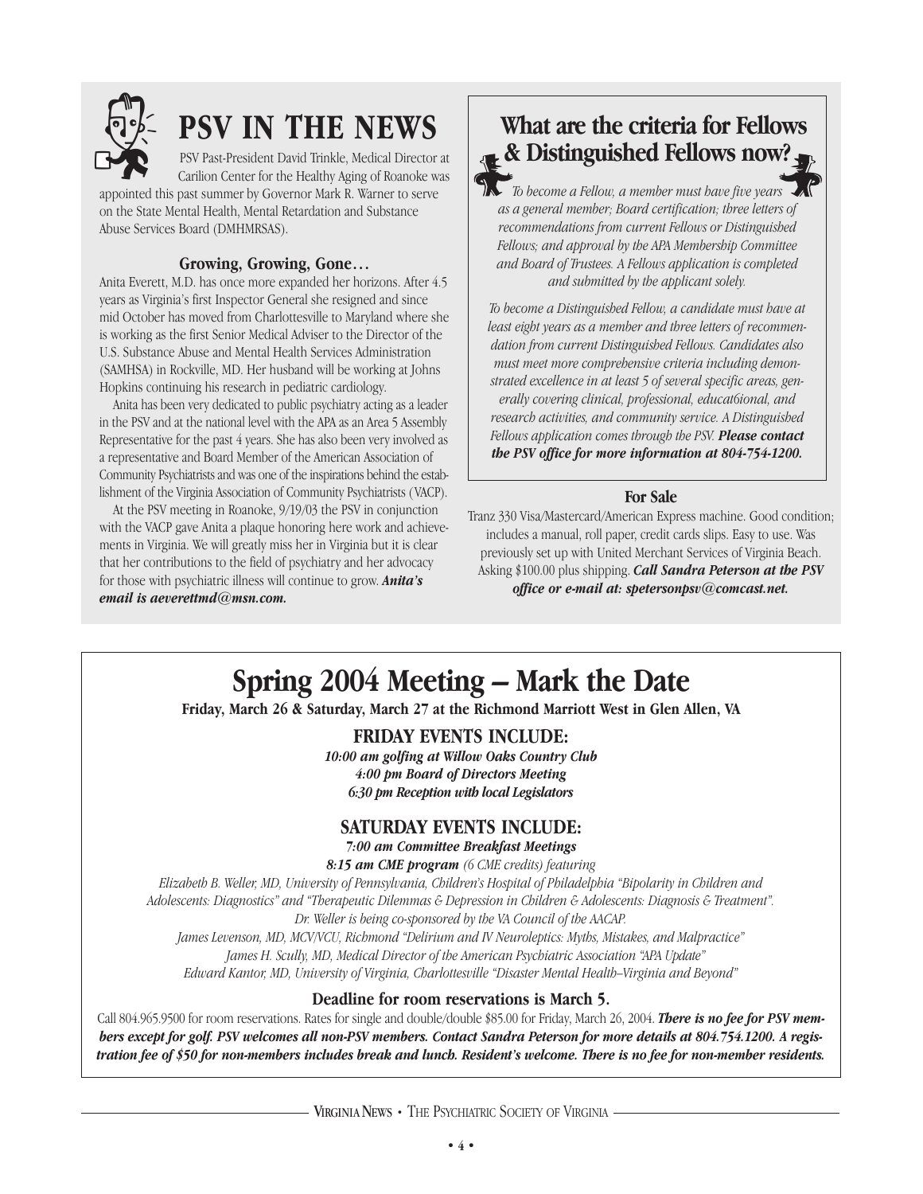

PSV Past-President David Trinkle, Medical Director at Carilion Center for the Healthy Aging of Roanoke was

appointed this past summer by Governor Mark R. Warner to serve on the State Mental Health, Mental Retardation and Substance Abuse Services Board (DMHMRSAS).

#### **Growing, Growing, Gone…**

Anita Everett, M.D. has once more expanded her horizons. After 4.5 years as Virginia's first Inspector General she resigned and since mid October has moved from Charlottesville to Maryland where she is working as the first Senior Medical Adviser to the Director of the U.S. Substance Abuse and Mental Health Services Administration (SAMHSA) in Rockville, MD. Her husband will be working at Johns Hopkins continuing his research in pediatric cardiology.

Anita has been very dedicated to public psychiatry acting as a leader in the PSV and at the national level with the APA as an Area 5 Assembly Representative for the past 4 years. She has also been very involved as a representative and Board Member of the American Association of Community Psychiatrists and was one of the inspirations behind the establishment of the Virginia Association of Community Psychiatrists (VACP).

At the PSV meeting in Roanoke, 9/19/03 the PSV in conjunction with the VACP gave Anita a plaque honoring here work and achievements in Virginia. We will greatly miss her in Virginia but it is clear that her contributions to the field of psychiatry and her advocacy for those with psychiatric illness will continue to grow. *Anita's email is aeverettmd@msn.com.*

# **PSV IN THE NEWS**<br>**Report Past-President David Trinkle, Medical Director at <b>& Distinguished Fellows now?**



*To become a Fellow, a member must have five years as a general member; Board certification; three letters of recommendations from current Fellows or Distinguished Fellows; and approval by the APA Membership Committee and Board of Trustees. A Fellows application is completed and submitted by the applicant solely.*

*To become a Distinguished Fellow, a candidate must have at least eight years as a member and three letters of recommendation from current Distinguished Fellows. Candidates also must meet more comprehensive criteria including demonstrated excellence in at least 5 of several specific areas, generally covering clinical, professional, educat6ional, and research activities, and community service. A Distinguished Fellows application comes through the PSV. Please contact the PSV office for more information at 804-754-1200.*

#### **For Sale**

Tranz 330 Visa/Mastercard/American Express machine. Good condition; includes a manual, roll paper, credit cards slips. Easy to use. Was previously set up with United Merchant Services of Virginia Beach. Asking \$100.00 plus shipping. *Call Sandra Peterson at the PSV office or e-mail at: spetersonpsv@comcast.net.* 

## **Spring 2004 Meeting – Mark the Date**

**Friday, March 26 & Saturday, March 27 at the Richmond Marriott West in Glen Allen, VA**

#### **FRIDAY EVENTS INCLUDE:**

*10:00 am golfing at Willow Oaks Country Club 4:00 pm Board of Directors Meeting 6:30 pm Reception with local Legislators*

#### **SATURDAY EVENTS INCLUDE:**

#### *7:00 am Committee Breakfast Meetings*

*8:15 am CME program (6 CME credits) featuring* 

*Elizabeth B. Weller, MD, University of Pennsylvania, Children's Hospital of Philadelphia "Bipolarity in Children and Adolescents: Diagnostics" and "Therapeutic Dilemmas & Depression in Children & Adolescents: Diagnosis & Treatment". Dr. Weller is being co-sponsored by the VA Council of the AACAP. James Levenson, MD, MCV/VCU, Richmond "Delirium and IV Neuroleptics: Myths, Mistakes, and Malpractice"*

*James H. Scully, MD, Medical Director of the American Psychiatric Association "APA Update"*

*Edward Kantor, MD, University of Virginia, Charlottesville "Disaster Mental Health–Virginia and Beyond"*

#### **Deadline for room reservations is March 5.**

Call 804.965.9500 for room reservations. Rates for single and double/double \$85.00 for Friday, March 26, 2004. *There is no fee for PSV members except for golf. PSV welcomes all non-PSV members. Contact Sandra Peterson for more details at 804.754.1200. A registration fee of \$50 for non-members includes break and lunch. Resident's welcome. There is no fee for non-member residents.*

VIRGINIA NEWS • THE PSYCHIATRIC SOCIETY OF VIRGINIA ·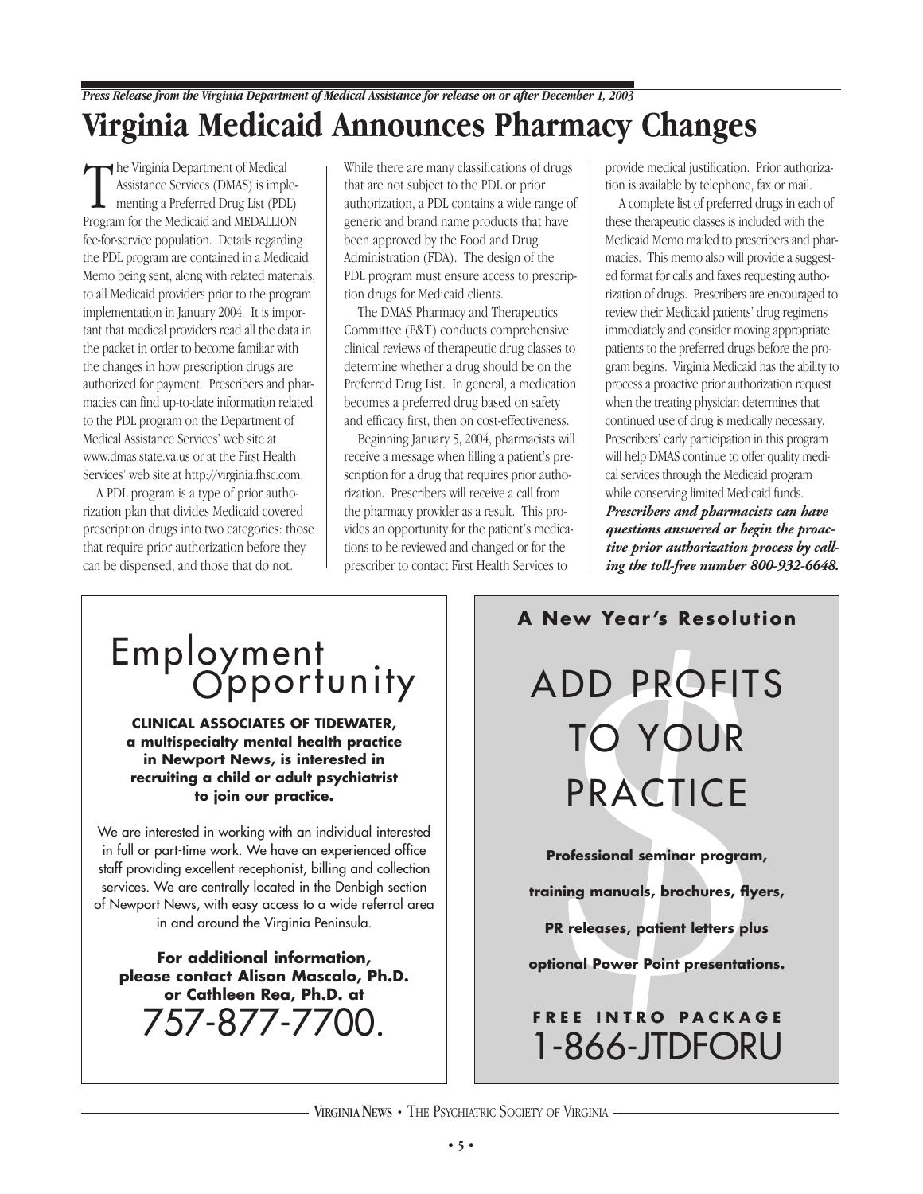### *Press Release from the Virginia Department of Medical Assistance for release on or after December 1, 2003* **Virginia Medicaid Announces Pharmacy Changes**

The Virginia Department of Medical<br>
Assistance Services (DMAS) is imp<br>
menting a Preferred Drug List (PD<br>
Program for the Medicaid and MEDALLIC Assistance Services (DMAS) is imple-**L** menting a Preferred Drug List (PDL) Program for the Medicaid and MEDALLION fee-for-service population. Details regarding the PDL program are contained in a Medicaid Memo being sent, along with related materials, to all Medicaid providers prior to the program implementation in January 2004. It is important that medical providers read all the data in the packet in order to become familiar with the changes in how prescription drugs are authorized for payment. Prescribers and pharmacies can find up-to-date information related to the PDL program on the Department of Medical Assistance Services' web site at www.dmas.state.va.us or at the First Health Services' web site at http://virginia.fhsc.com.

A PDL program is a type of prior authorization plan that divides Medicaid covered prescription drugs into two categories: those that require prior authorization before they can be dispensed, and those that do not.

While there are many classifications of drugs that are not subject to the PDL or prior authorization, a PDL contains a wide range of generic and brand name products that have been approved by the Food and Drug Administration (FDA). The design of the PDL program must ensure access to prescription drugs for Medicaid clients.

The DMAS Pharmacy and Therapeutics Committee (P&T) conducts comprehensive clinical reviews of therapeutic drug classes to determine whether a drug should be on the Preferred Drug List. In general, a medication becomes a preferred drug based on safety and efficacy first, then on cost-effectiveness.

Beginning January 5, 2004, pharmacists will receive a message when filling a patient's prescription for a drug that requires prior authorization. Prescribers will receive a call from the pharmacy provider as a result. This provides an opportunity for the patient's medications to be reviewed and changed or for the prescriber to contact First Health Services to

provide medical justification. Prior authorization is available by telephone, fax or mail.

A complete list of preferred drugs in each of these therapeutic classes is included with the Medicaid Memo mailed to prescribers and pharmacies. This memo also will provide a suggested format for calls and faxes requesting authorization of drugs. Prescribers are encouraged to review their Medicaid patients' drug regimens immediately and consider moving appropriate patients to the preferred drugs before the program begins. Virginia Medicaid has the ability to process a proactive prior authorization request when the treating physician determines that continued use of drug is medically necessary. Prescribers' early participation in this program will help DMAS continue to offer quality medical services through the Medicaid program while conserving limited Medicaid funds. *Prescribers and pharmacists can have questions answered or begin the proactive prior authorization process by call-*

*ing the toll-free number 800-932-6648.*

**CLINICAL ASSOCIATES OF TIDEWATER, a multispecialty mental health practice in Newport News, is interested in recruiting a child or adult psychiatrist to join our practice.** 

We are interested in working with an individual interested in full or part-time work. We have an experienced office staff providing excellent receptionist, billing and collection services. We are centrally located in the Denbigh section of Newport News, with easy access to a wide referral area in and around the Virginia Peninsula.

**For additional information, please contact Alison Mascalo, Ph.D. or Cathleen Rea, Ph.D. at**  757-877-7700.

#### **A New Year's Resolution**

Employment<br>
CINCAL ASSOCIATES OF TOUNITY<br>
CLINICAL ASSOCIATES OF TIDEWATER,<br>
a multispecialty mental health practice<br>
in Newport News, is interested in<br>
recruiting a child or adult psychiatrist<br>
to join our practice.<br>
Se a ADD PROFITS TO YOUR PRACTICE

**Professional seminar program,**

**training manuals, brochures, flyers,**

**PR releases, patient letters plus**

**optional Power Point presentations.**

## **FREE INTRO PACKAGE** 1-866-JTDFORU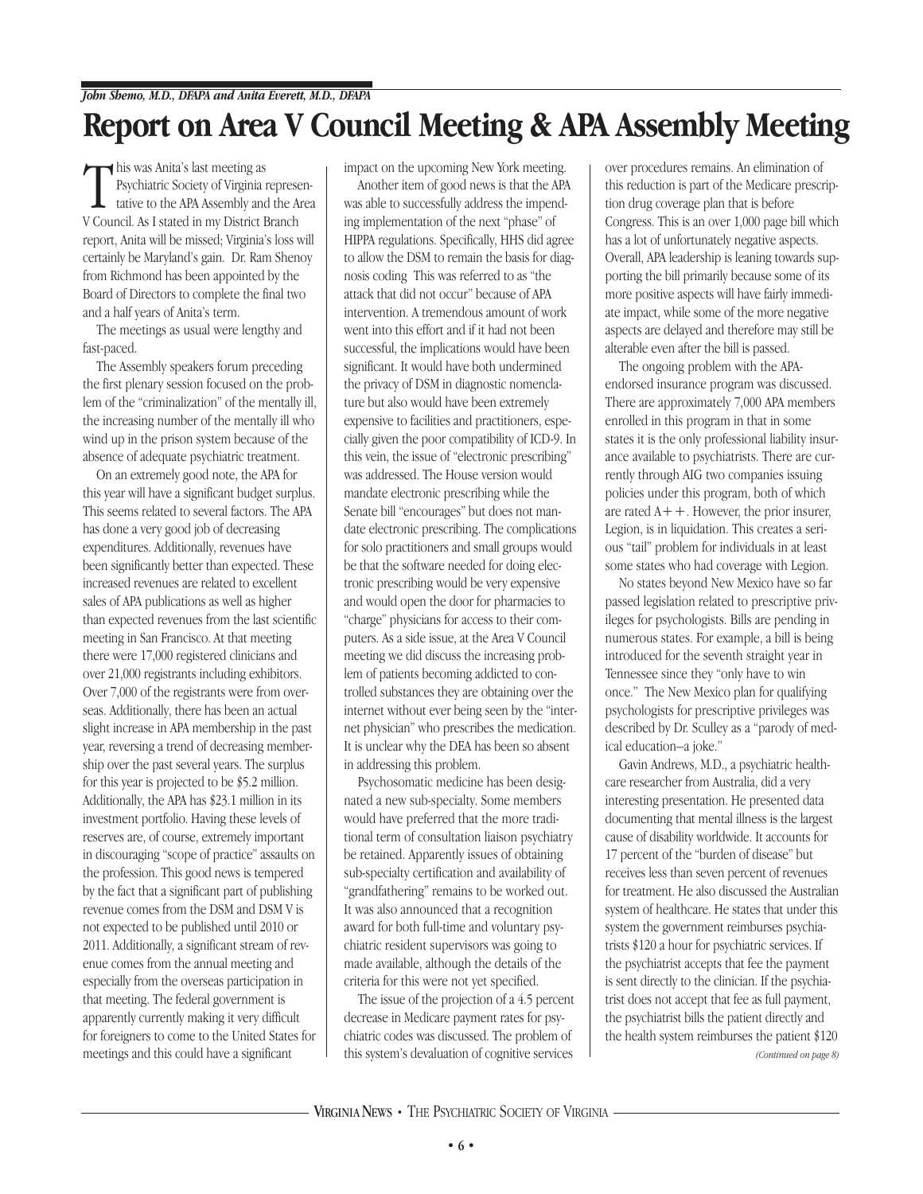## **Report on Area V Council Meeting & APA Assembly Meeting**

This was Anita's last meeting as<br>Psychiatric Society of Virginia represe<br>tative to the APA Assembly and the A<br>V Council. As I stated in my District Branch his was Anita's last meeting as Psychiatric Society of Virginia representative to the APA Assembly and the Area report, Anita will be missed; Virginia's loss will certainly be Maryland's gain. Dr. Ram Shenoy from Richmond has been appointed by the Board of Directors to complete the final two and a half years of Anita's term.

The meetings as usual were lengthy and fast-paced.

The Assembly speakers forum preceding the first plenary session focused on the problem of the "criminalization" of the mentally ill, the increasing number of the mentally ill who wind up in the prison system because of the absence of adequate psychiatric treatment.

On an extremely good note, the APA for this year will have a significant budget surplus. This seems related to several factors. The APA has done a very good job of decreasing expenditures. Additionally, revenues have been significantly better than expected. These increased revenues are related to excellent sales of APA publications as well as higher than expected revenues from the last scientific meeting in San Francisco. At that meeting there were 17,000 registered clinicians and over 21,000 registrants including exhibitors. Over 7,000 of the registrants were from overseas. Additionally, there has been an actual slight increase in APA membership in the past year, reversing a trend of decreasing membership over the past several years. The surplus for this year is projected to be \$5.2 million. Additionally, the APA has \$23.1 million in its investment portfolio. Having these levels of reserves are, of course, extremely important in discouraging "scope of practice" assaults on the profession. This good news is tempered by the fact that a significant part of publishing revenue comes from the DSM and DSM V is not expected to be published until 2010 or 2011. Additionally, a significant stream of revenue comes from the annual meeting and especially from the overseas participation in that meeting. The federal government is apparently currently making it very difficult for foreigners to come to the United States for meetings and this could have a significant

impact on the upcoming New York meeting.

Another item of good news is that the APA was able to successfully address the impending implementation of the next "phase" of HIPPA regulations. Specifically, HHS did agree to allow the DSM to remain the basis for diagnosis coding This was referred to as "the attack that did not occur" because of APA intervention. A tremendous amount of work went into this effort and if it had not been successful, the implications would have been significant. It would have both undermined the privacy of DSM in diagnostic nomenclature but also would have been extremely expensive to facilities and practitioners, especially given the poor compatibility of ICD-9. In this vein, the issue of "electronic prescribing" was addressed. The House version would mandate electronic prescribing while the Senate bill "encourages" but does not mandate electronic prescribing. The complications for solo practitioners and small groups would be that the software needed for doing electronic prescribing would be very expensive and would open the door for pharmacies to "charge" physicians for access to their computers. As a side issue, at the Area V Council meeting we did discuss the increasing problem of patients becoming addicted to controlled substances they are obtaining over the internet without ever being seen by the "internet physician" who prescribes the medication. It is unclear why the DEA has been so absent in addressing this problem.

Psychosomatic medicine has been designated a new sub-specialty. Some members would have preferred that the more traditional term of consultation liaison psychiatry be retained. Apparently issues of obtaining sub-specialty certification and availability of "grandfathering" remains to be worked out. It was also announced that a recognition award for both full-time and voluntary psychiatric resident supervisors was going to made available, although the details of the criteria for this were not yet specified.

The issue of the projection of a 4.5 percent decrease in Medicare payment rates for psychiatric codes was discussed. The problem of this system's devaluation of cognitive services

over procedures remains. An elimination of this reduction is part of the Medicare prescription drug coverage plan that is before Congress. This is an over 1,000 page bill which has a lot of unfortunately negative aspects. Overall, APA leadership is leaning towards supporting the bill primarily because some of its more positive aspects will have fairly immediate impact, while some of the more negative aspects are delayed and therefore may still be alterable even after the bill is passed.

The ongoing problem with the APAendorsed insurance program was discussed. There are approximately 7,000 APA members enrolled in this program in that in some states it is the only professional liability insurance available to psychiatrists. There are currently through AIG two companies issuing policies under this program, both of which are rated  $A++$ . However, the prior insurer, Legion, is in liquidation. This creates a serious "tail" problem for individuals in at least some states who had coverage with Legion.

No states beyond New Mexico have so far passed legislation related to prescriptive privileges for psychologists. Bills are pending in numerous states. For example, a bill is being introduced for the seventh straight year in Tennessee since they "only have to win once." The New Mexico plan for qualifying psychologists for prescriptive privileges was described by Dr. Sculley as a "parody of medical education–a joke."

Gavin Andrews, M.D., a psychiatric healthcare researcher from Australia, did a very interesting presentation. He presented data documenting that mental illness is the largest cause of disability worldwide. It accounts for 17 percent of the "burden of disease" but receives less than seven percent of revenues for treatment. He also discussed the Australian system of healthcare. He states that under this system the government reimburses psychiatrists \$120 a hour for psychiatric services. If the psychiatrist accepts that fee the payment is sent directly to the clinician. If the psychiatrist does not accept that fee as full payment, the psychiatrist bills the patient directly and the health system reimburses the patient \$120 *(Continued on page 8)*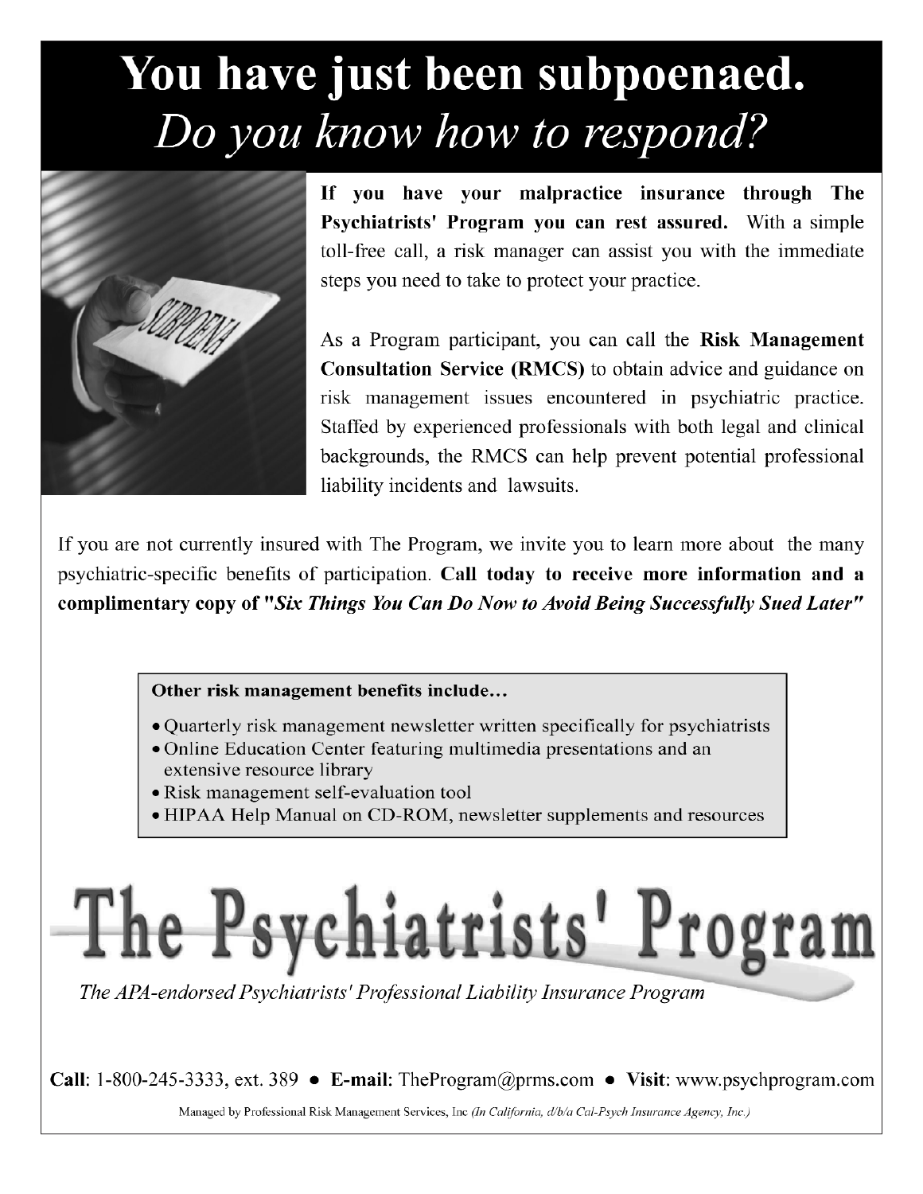## You have just been subpoenaed. Do you know how to respond?



If you have your malpractice insurance through The Psychiatrists' Program you can rest assured. With a simple toll-free call, a risk manager can assist you with the immediate steps you need to take to protect your practice.

As a Program participant, you can call the Risk Management **Consultation Service (RMCS)** to obtain advice and guidance on risk management issues encountered in psychiatric practice. Staffed by experienced professionals with both legal and clinical backgrounds, the RMCS can help prevent potential professional liability incidents and lawsuits.

If you are not currently insured with The Program, we invite you to learn more about the many psychiatric-specific benefits of participation. Call today to receive more information and a complimentary copy of "Six Things You Can Do Now to Avoid Being Successfully Sued Later"

#### Other risk management benefits include...

- Quarterly risk management newsletter written specifically for psychiatrists
- Online Education Center featuring multimedia presentations and an extensive resource library
- Risk management self-evaluation tool
- HIPAA Help Manual on CD-ROM, newsletter supplements and resources

# The Psychiatrists' Program

The APA-endorsed Psychiatrists' Professional Liability Insurance Program

**Call:** 1-800-245-3333, ext. 389 • E-mail: The Program @ prms.com • Visit: www.psychprogram.com

Managed by Professional Risk Management Services, Inc (In California, d/b/a Cal-Psych Insurance Agency, Inc.)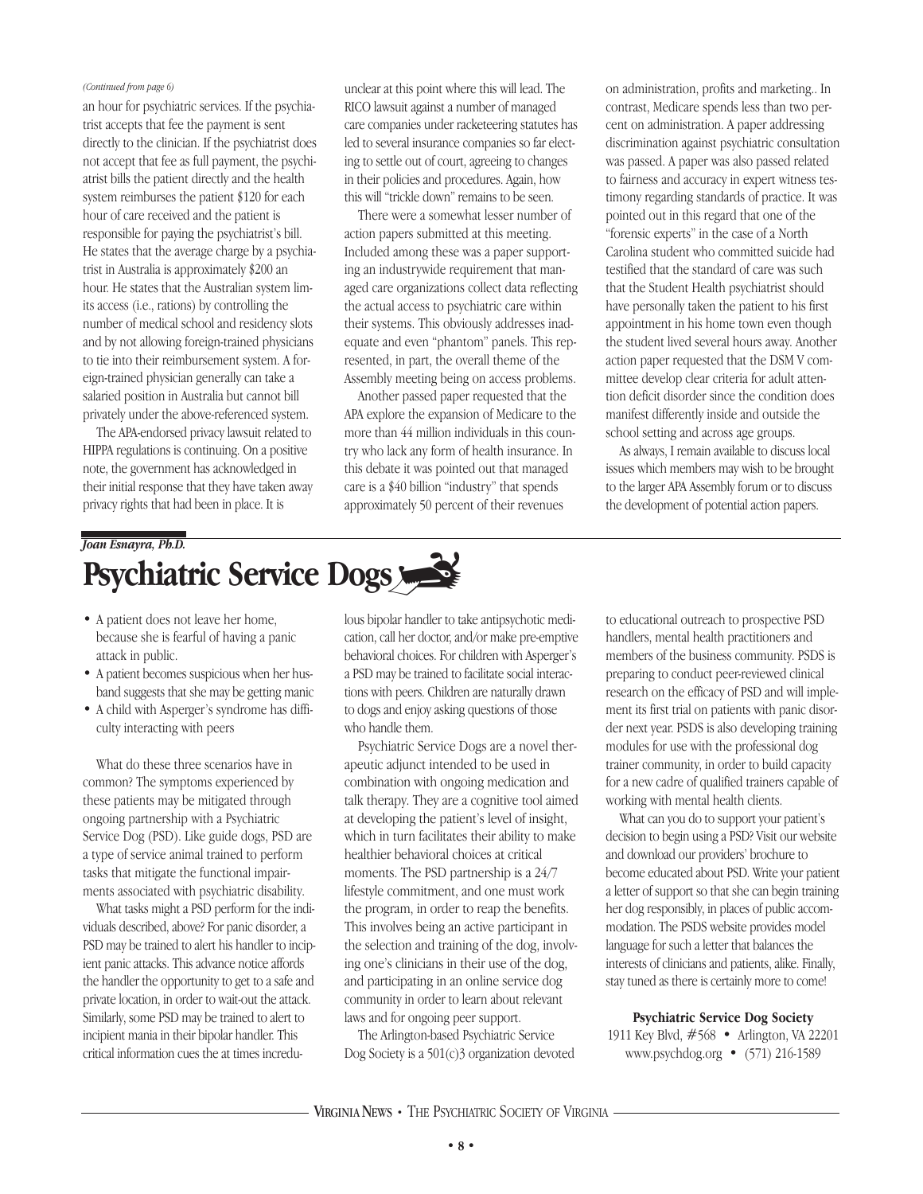#### *(Continued from page 6)*

an hour for psychiatric services. If the psychiatrist accepts that fee the payment is sent directly to the clinician. If the psychiatrist does not accept that fee as full payment, the psychiatrist bills the patient directly and the health system reimburses the patient \$120 for each hour of care received and the patient is responsible for paying the psychiatrist's bill. He states that the average charge by a psychiatrist in Australia is approximately \$200 an hour. He states that the Australian system limits access (i.e., rations) by controlling the number of medical school and residency slots and by not allowing foreign-trained physicians to tie into their reimbursement system. A foreign-trained physician generally can take a salaried position in Australia but cannot bill privately under the above-referenced system.

The APA-endorsed privacy lawsuit related to HIPPA regulations is continuing. On a positive note, the government has acknowledged in their initial response that they have taken away privacy rights that had been in place. It is

unclear at this point where this will lead. The RICO lawsuit against a number of managed care companies under racketeering statutes has led to several insurance companies so far electing to settle out of court, agreeing to changes in their policies and procedures. Again, how this will "trickle down" remains to be seen.

There were a somewhat lesser number of action papers submitted at this meeting. Included among these was a paper supporting an industrywide requirement that managed care organizations collect data reflecting the actual access to psychiatric care within their systems. This obviously addresses inadequate and even "phantom" panels. This represented, in part, the overall theme of the Assembly meeting being on access problems.

Another passed paper requested that the APA explore the expansion of Medicare to the more than 44 million individuals in this country who lack any form of health insurance. In this debate it was pointed out that managed care is a \$40 billion "industry" that spends approximately 50 percent of their revenues

on administration, profits and marketing.. In contrast, Medicare spends less than two percent on administration. A paper addressing discrimination against psychiatric consultation was passed. A paper was also passed related to fairness and accuracy in expert witness testimony regarding standards of practice. It was pointed out in this regard that one of the "forensic experts" in the case of a North Carolina student who committed suicide had testified that the standard of care was such that the Student Health psychiatrist should have personally taken the patient to his first appointment in his home town even though the student lived several hours away. Another action paper requested that the DSM V committee develop clear criteria for adult attention deficit disorder since the condition does manifest differently inside and outside the school setting and across age groups.

As always, I remain available to discuss local issues which members may wish to be brought to the larger APA Assembly forum or to discuss the development of potential action papers.

## *Joan Esnayra, Ph.D.* **Psychiatric Service Dogs**

- A patient does not leave her home, because she is fearful of having a panic attack in public.
- A patient becomes suspicious when her husband suggests that she may be getting manic
- A child with Asperger's syndrome has difficulty interacting with peers

What do these three scenarios have in common? The symptoms experienced by these patients may be mitigated through ongoing partnership with a Psychiatric Service Dog (PSD). Like guide dogs, PSD are a type of service animal trained to perform tasks that mitigate the functional impairments associated with psychiatric disability.

What tasks might a PSD perform for the individuals described, above? For panic disorder, a PSD may be trained to alert his handler to incipient panic attacks. This advance notice affords the handler the opportunity to get to a safe and private location, in order to wait-out the attack. Similarly, some PSD may be trained to alert to incipient mania in their bipolar handler. This critical information cues the at times incredulous bipolar handler to take antipsychotic medication, call her doctor, and/or make pre-emptive behavioral choices. For children with Asperger's a PSD may be trained to facilitate social interactions with peers. Children are naturally drawn to dogs and enjoy asking questions of those who handle them.

Psychiatric Service Dogs are a novel therapeutic adjunct intended to be used in combination with ongoing medication and talk therapy. They are a cognitive tool aimed at developing the patient's level of insight, which in turn facilitates their ability to make healthier behavioral choices at critical moments. The PSD partnership is a 24/7 lifestyle commitment, and one must work the program, in order to reap the benefits. This involves being an active participant in the selection and training of the dog, involving one's clinicians in their use of the dog, and participating in an online service dog community in order to learn about relevant laws and for ongoing peer support.

The Arlington-based Psychiatric Service Dog Society is a 501(c)3 organization devoted to educational outreach to prospective PSD handlers, mental health practitioners and members of the business community. PSDS is preparing to conduct peer-reviewed clinical research on the efficacy of PSD and will implement its first trial on patients with panic disorder next year. PSDS is also developing training modules for use with the professional dog trainer community, in order to build capacity for a new cadre of qualified trainers capable of working with mental health clients.

What can you do to support your patient's decision to begin using a PSD? Visit our website and download our providers' brochure to become educated about PSD. Write your patient a letter of support so that she can begin training her dog responsibly, in places of public accommodation. The PSDS website provides model language for such a letter that balances the interests of clinicians and patients, alike. Finally, stay tuned as there is certainly more to come!

**Psychiatric Service Dog Society** 1911 Key Blvd, #568 • Arlington, VA 22201 www.psychdog.org • (571) 216-1589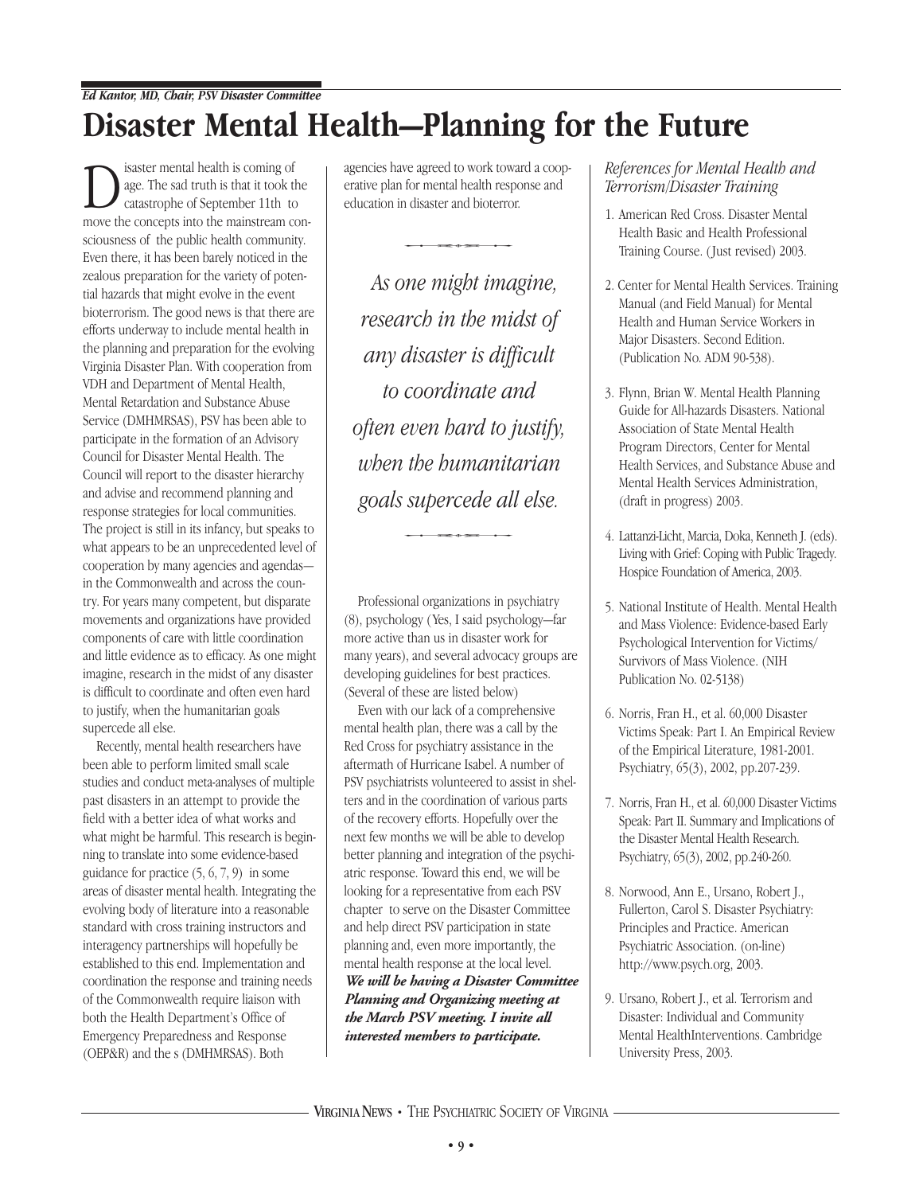#### *Ed Kantor, MD, Chair, PSV Disaster Committee*

## **Disaster Mental Health—Planning for the Future**

isaster mental health is coming of<br>age. The sad truth is that it took to<br>catastrophe of September 11th to<br>move the concents into the mainstream c age. The sad truth is that it took the catastrophe of September 11th to move the concepts into the mainstream consciousness of the public health community. Even there, it has been barely noticed in the zealous preparation for the variety of potential hazards that might evolve in the event bioterrorism. The good news is that there are efforts underway to include mental health in the planning and preparation for the evolving Virginia Disaster Plan. With cooperation from VDH and Department of Mental Health, Mental Retardation and Substance Abuse Service (DMHMRSAS), PSV has been able to participate in the formation of an Advisory Council for Disaster Mental Health. The Council will report to the disaster hierarchy and advise and recommend planning and response strategies for local communities. The project is still in its infancy, but speaks to what appears to be an unprecedented level of cooperation by many agencies and agendas in the Commonwealth and across the country. For years many competent, but disparate movements and organizations have provided components of care with little coordination and little evidence as to efficacy. As one might imagine, research in the midst of any disaster is difficult to coordinate and often even hard to justify, when the humanitarian goals supercede all else.

Recently, mental health researchers have been able to perform limited small scale studies and conduct meta-analyses of multiple past disasters in an attempt to provide the field with a better idea of what works and what might be harmful. This research is beginning to translate into some evidence-based guidance for practice (5, 6, 7, 9) in some areas of disaster mental health. Integrating the evolving body of literature into a reasonable standard with cross training instructors and interagency partnerships will hopefully be established to this end. Implementation and coordination the response and training needs of the Commonwealth require liaison with both the Health Department's Office of Emergency Preparedness and Response (OEP&R) and the s (DMHMRSAS). Both

agencies have agreed to work toward a cooperative plan for mental health response and education in disaster and bioterror.

*As one might imagine, research in the midst of any disaster is difficult to coordinate and often even hard to justify, when the humanitarian goals supercede all else.*  $supercede$  all els

Professional organizations in psychiatry (8), psychology ( Yes, I said psychology—far more active than us in disaster work for many years), and several advocacy groups are developing guidelines for best practices. (Several of these are listed below)

Even with our lack of a comprehensive mental health plan, there was a call by the Red Cross for psychiatry assistance in the aftermath of Hurricane Isabel. A number of PSV psychiatrists volunteered to assist in shelters and in the coordination of various parts of the recovery efforts. Hopefully over the next few months we will be able to develop better planning and integration of the psychiatric response. Toward this end, we will be looking for a representative from each PSV chapter to serve on the Disaster Committee and help direct PSV participation in state planning and, even more importantly, the mental health response at the local level. *We will be having a Disaster Committee Planning and Organizing meeting at the March PSV meeting. I invite all interested members to participate.* 

*References for Mental Health and Terrorism/Disaster Training*

- 1. American Red Cross. Disaster Mental Health Basic and Health Professional Training Course. ( Just revised) 2003.
- 2. Center for Mental Health Services. Training Manual (and Field Manual) for Mental Health and Human Service Workers in Major Disasters. Second Edition. (Publication No. ADM 90-538).
- 3. Flynn, Brian W. Mental Health Planning Guide for All-hazards Disasters. National Association of State Mental Health Program Directors, Center for Mental Health Services, and Substance Abuse and Mental Health Services Administration, (draft in progress) 2003.
- 4. Lattanzi-Licht, Marcia, Doka, Kenneth J. (eds). Living with Grief: Coping with Public Tragedy. Hospice Foundation of America, 2003.
- 5. National Institute of Health. Mental Health and Mass Violence: Evidence-based Early Psychological Intervention for Victims/ Survivors of Mass Violence. (NIH Publication No. 02-5138)
- 6. Norris, Fran H., et al. 60,000 Disaster Victims Speak: Part I. An Empirical Review of the Empirical Literature, 1981-2001. Psychiatry, 65(3), 2002, pp.207-239.
- 7. Norris, Fran H., et al. 60,000 Disaster Victims Speak: Part II. Summary and Implications of the Disaster Mental Health Research. Psychiatry, 65(3), 2002, pp.240-260.
- 8. Norwood, Ann E., Ursano, Robert J., Fullerton, Carol S. Disaster Psychiatry: Principles and Practice. American Psychiatric Association. (on-line) http://www.psych.org, 2003.
- 9. Ursano, Robert J., et al. Terrorism and Disaster: Individual and Community Mental HealthInterventions. Cambridge University Press, 2003.